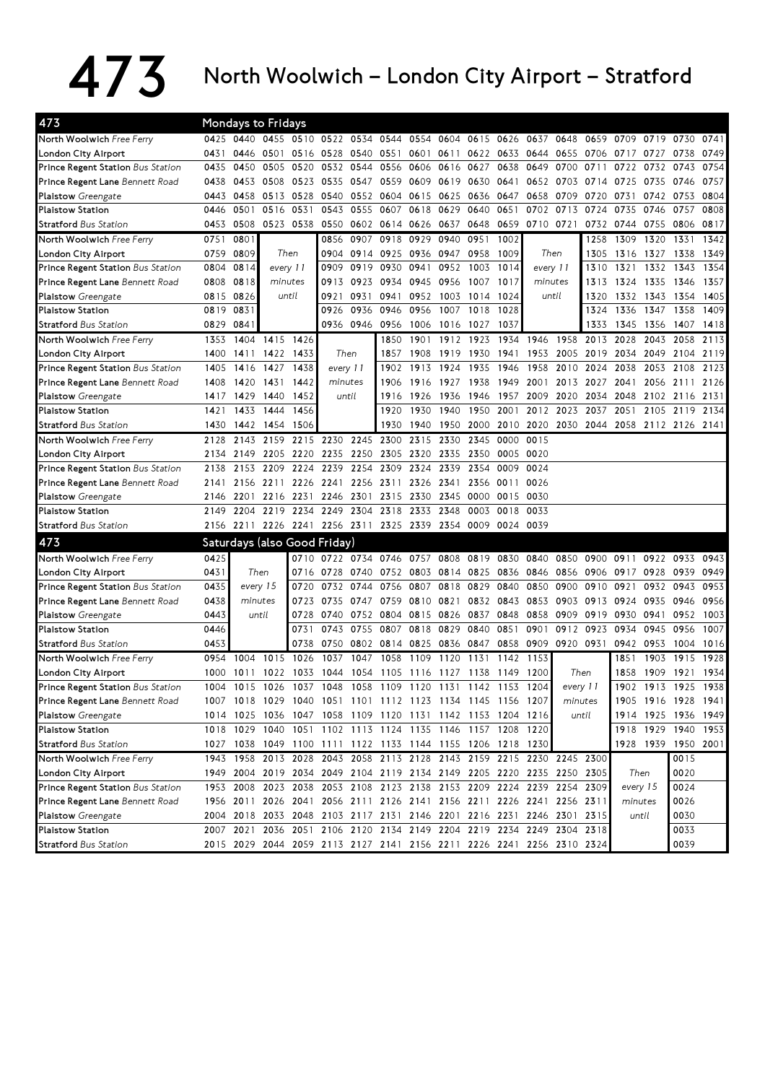## $473$  North Woolwich – London City Airport – Stratford

| 473                                      |      |           | <b>Mondays to Fridays</b>    |           |      |                                                             |           |           |           |           |                |                                                                       |           |         |           |           |                                         |      |
|------------------------------------------|------|-----------|------------------------------|-----------|------|-------------------------------------------------------------|-----------|-----------|-----------|-----------|----------------|-----------------------------------------------------------------------|-----------|---------|-----------|-----------|-----------------------------------------|------|
| North Woolwich Free Ferry                |      |           |                              |           |      |                                                             |           |           |           |           |                | 0425 0440 0455 0510 0522 0534 0544 0554 0604 0615 0626 0637 0648      |           | 0659    | 0709 0719 |           | 0730                                    | 0741 |
| London City Airport                      | 0431 | 0446      | 0501                         |           |      | 0516 0528 0540 0551 0601 0611                               |           |           |           |           | 0622 0633      | 0644 0655                                                             |           | 0706    | 0717      | 0727      | 0738                                    | 0749 |
| Prince Regent Station Bus Station        | 0435 | 0450      | 0505                         | 0520      | 0532 | 0544                                                        | 0556      | 0606      | 0616      | 0627      | 0638           | 0649                                                                  | 0700      | 0711    | 0722      | 0732      | 0743                                    | 0754 |
| Prince Regent Lane Bennett Road          | 0438 | 0453      | 0508                         | 0523      | 0535 | 0547                                                        | 0559      | 0609      | 0619      | 0630      | 0641           | 0652                                                                  | 0703      | 0714    | 0725      | 0735      | 0746                                    | 0757 |
| Plaistow Greengate                       | 0443 | 0458      | 0513                         | 0528      | 0540 | 0552                                                        | 0604      | 0615      | 0625      | 0636      | 0647           | 0658                                                                  | 0709      | 0720    | 0731      | 0742      | 0753                                    | 0804 |
| <b>Plaistow Station</b>                  | 0446 | 0501      | 0516                         | 0531      | 0543 | 0555                                                        | 0607      | 0618      | 0629      | 0640      | 0651           | 0702                                                                  | 0713      | 0724    | 0735      | 0746      | 0757                                    | 0808 |
| <b>Stratford</b> Bus Station             | 0453 | 0508      |                              | 0523 0538 |      | 0550 0602 0614 0626                                         |           |           | 0637      | 0648      | 0659           | 0710 0721                                                             |           | 0732    | 0744      | 0755      | 0806                                    | 0817 |
| North Woolwich Free Ferry                | 0751 | 0801      |                              |           | 0856 | 0907                                                        | 0918      | 0929      | 0940      | 0951      | 1002           |                                                                       |           | 1258    | 1309      | 1320      | 1331                                    | 1342 |
| London City Airport                      | 0759 | 0809      |                              | Then      | 0904 |                                                             | 0914 0925 |           | 0936 0947 | 0958      | 1009           |                                                                       | Then      | 1305    | 1316      | 1327      | 1338                                    | 1349 |
| Prince Regent Station Bus Station        | 0804 | 0814      | every 11                     |           | 0909 | 0919                                                        | 0930      | 0941      | 0952      | 1003      | 1014           | every 11                                                              |           | 1310    | 1321      | 1332      | 1343                                    | 1354 |
| Prince Regent Lane Bennett Road          | 0808 | 0818      | minutes                      |           | 0913 | 0923                                                        | 0934      |           | 0945 0956 | 1007      | 1017           | minutes                                                               |           | 1313    | 1324      | 1335      | 1346                                    | 1357 |
| Plaistow Greengate                       | 0815 | 0826      |                              | until     | 0921 | 0931                                                        | 0941      |           | 0952 1003 | 1014      | 1024           |                                                                       | until     | 1320    | 1332      | 1343      | 1354                                    | 1405 |
| <b>Plaistow Station</b>                  | 0819 | 0831      |                              |           | 0926 | 0936                                                        | 0946      | 0956      | 1007      | 1018      | 1028           |                                                                       |           | 1324    | 1336      | 1347      | 1358                                    | 1409 |
| <b>Stratford Bus Station</b>             | 0829 | 0841      |                              |           |      | 0936 0946                                                   | 0956      | 1006      | 1016      | 1027      | 1037           |                                                                       |           | 1333    | 1345      | 1356      | 1407                                    | 1418 |
| North Woolwich Free Ferry                | 1353 | 1404      | 1415 1426                    |           |      |                                                             | 1850      | 1901      | 1912      | 1923      |                | 1934 1946                                                             | 1958      | 2013    | 2028      | 2043      | 2058                                    | 2113 |
| London City Airport                      | 1400 | 1411      | 1422                         | 1433      |      | Then                                                        | 1857      | 1908      | 1919      | 1930      |                | 1941 1953 2005                                                        |           | 2019    | 2034      | 2049      | 2104                                    | 2119 |
| Prince Regent Station Bus Station        | 1405 | 1416 1427 |                              | 1438      |      | every 11                                                    | 1902      | 1913      | 1924      | 1935      | 1946           | 1958                                                                  | 2010      | 2024    | 2038      | 2053      | 2108                                    | 2123 |
| Prince Regent Lane Bennett Road          | 1408 | 1420      | 1431                         | 1442      |      | minutes                                                     | 1906      | 1916 1927 |           | 1938      | 1949           | 2001                                                                  | 2013      | 2027    | 2041      | 2056      | 2111                                    | 2126 |
| Plaistow Greengate                       | 1417 | 1429      | 1440                         | 1452      |      | until                                                       | 1916      | 1926      | 1936      | 1946      | 1957           | 2009                                                                  | 2020      |         | 2034 2048 | 2102      | 2116                                    | 2131 |
| <b>Plaistow Station</b>                  | 1421 | 1433      | 1444                         | 1456      |      |                                                             | 1920      | 1930      | 1940      | 1950      | 2001           | 2012                                                                  | 2023      | 2037    | 2051      | 2105      | 2119                                    | 2134 |
| <b>Stratford Bus Station</b>             | 1430 | 1442      | 1454                         | 1506      |      |                                                             | 1930      | 1940      | 1950      | 2000      |                |                                                                       |           |         |           |           | 2010 2020 2030 2044 2058 2112 2126 2141 |      |
| North Woolwich Free Ferry                | 2128 | 2143      |                              | 2159 2215 |      | 2230 2245                                                   | 2300      | 2315      | 2330      | 2345      | 0000           | 0015                                                                  |           |         |           |           |                                         |      |
| London City Airport                      | 2134 | 2149      | 2205                         | 2220      |      | 2235 2250                                                   | 2305      | 2320 2335 |           | 2350      | 0005           | 0020                                                                  |           |         |           |           |                                         |      |
| Prince Regent Station Bus Station        | 2138 | 2153      | 2209 2224                    |           | 2239 | 2254                                                        | 2309      |           | 2324 2339 | 2354      | 0009           | 0024                                                                  |           |         |           |           |                                         |      |
| Prince Regent Lane Bennett Road          | 2141 |           | 2156 2211 2226               |           |      | 2241 2256 2311 2326 2341                                    |           |           |           | 2356      | 0011           | 0026                                                                  |           |         |           |           |                                         |      |
| Plaistow Greengate                       | 2146 | 2201      | 2216                         | 2231      |      | 2246 2301                                                   | 2315      | 2330      | 2345      | 0000      | 0015           | 0030                                                                  |           |         |           |           |                                         |      |
| <b>Plaistow Station</b>                  | 2149 | 2204      | 2219                         | 2234      |      | 2249 2304                                                   | 2318      | 2333 2348 |           | 0003      | 0018           | 0033                                                                  |           |         |           |           |                                         |      |
| <b>Stratford Bus Station</b>             |      |           |                              |           |      | 2156 2211 2226 2241 2256 2311 2325 2339 2354                |           |           |           |           | 0009 0024 0039 |                                                                       |           |         |           |           |                                         |      |
| 473                                      |      |           | Saturdays (also Good Friday) |           |      |                                                             |           |           |           |           |                |                                                                       |           |         |           |           |                                         |      |
| North Woolwich Free Ferry                | 0425 |           |                              | 0710      |      | 0722 0734                                                   | 0746      | 0757      | 0808      | 0819 0830 |                | 0840                                                                  | 0850      | 0900    | 0911      | 0922      | 0933                                    | 0943 |
| London City Airport                      | 0431 |           | Then                         | 0716      |      | 0728 0740                                                   | 0752      |           | 0803 0814 | 0825      |                | 0836 0846                                                             | 0856      | 0906    | 0917      | 0928      | 0939                                    | 0949 |
| Prince Regent Station Bus Station        | 0435 |           | every 15                     | 0720      |      | 0732 0744                                                   | 0756      | 0807      | 0818      | 0829      | 0840           | 0850                                                                  | 0900      | 0910    | 0921      | 0932      | 0943                                    | 0953 |
| Prince Regent Lane Bennett Road          | 0438 |           | minutes                      | 0723      |      | 0735 0747 0759                                              |           | 0810 0821 |           |           | 0832 0843 0853 |                                                                       | 0903      | 0913    | 0924      | 0935      | 0946                                    | 0956 |
| <b>Plaistow</b> Greengate                | 0443 |           | until                        | 0728      | 0740 |                                                             | 0752 0804 | 0815 0826 |           | 0837 0848 |                | 0858                                                                  | 0909      | 0919    | 0930      | 0941      | 0952                                    | 1003 |
| <b>Plaistow Station</b>                  | 0446 |           |                              | 0731      | 0743 | 0755                                                        | 0807      |           | 0818 0829 | 0840      | 0851           | 0901                                                                  | 0912      | 0923    | 0934      | 0945      | 0956                                    | 1007 |
| <b>Stratford Bus Station</b>             | 0453 |           |                              | 0738      |      | 0750 0802 0814 0825 0836 0847                               |           |           |           |           |                | 0858 0909                                                             | 0920 0931 |         | 0942 0953 |           | 1004                                    | 1016 |
| North Woolwich Free Ferry                | 0954 | 1004      | 1015                         | 1026      | 1037 | 1047                                                        | 1058      | 1109      | 1120      | 1131      | 1142           | 1153                                                                  |           |         | 1851      | 1903      | 1915                                    | 1928 |
| London City Airport                      | 1000 | 1011      |                              |           |      | 1022 1033 1044 1054 1105 1116 1127                          |           |           |           | 1138      | 1149           | 1200                                                                  | Then      |         | 1858      | 1909      | 1921                                    | 1934 |
| <b>Prince Regent Station Bus Station</b> |      | 1004 1015 |                              |           |      |                                                             |           |           |           |           |                | 1026 1037 1048 1058 1109 1120 1131 1142 1153 1204                     | every 11  |         | 1902      | 1913      | 1925                                    | 1938 |
| Prince Regent Lane Bennett Road          |      |           |                              |           |      | 1007 1018 1029 1040 1051 1101 1112 1123 1134 1145 1156 1207 |           |           |           |           |                |                                                                       |           | minutes |           |           | 1905 1916 1928 1941                     |      |
| Plaistow Greengate                       |      |           |                              |           |      | 1014 1025 1036 1047 1058 1109 1120 1131 1142 1153 1204 1216 |           |           |           |           |                |                                                                       |           | until   |           |           | 1914 1925 1936 1949                     |      |
| Plaistow Station                         |      |           |                              |           |      | 1018 1029 1040 1051 1102 1113 1124 1135 1146 1157 1208 1220 |           |           |           |           |                |                                                                       |           |         |           |           | 1918 1929 1940 1953                     |      |
| <b>Stratford Bus Station</b>             |      |           |                              |           |      | 1027 1038 1049 1100 1111 1122 1133 1144 1155 1206 1218 1230 |           |           |           |           |                |                                                                       |           |         |           | 1928 1939 | 1950 2001                               |      |
| North Woolwich Free Ferry                |      |           |                              |           |      |                                                             |           |           |           |           |                | 1943 1958 2013 2028 2043 2058 2113 2128 2143 2159 2215 2230 2245 2300 |           |         |           |           | 0015                                    |      |
| London City Airport                      |      |           |                              |           |      |                                                             |           |           |           |           |                | 1949 2004 2019 2034 2049 2104 2119 2134 2149 2205 2220 2235 2250 2305 |           |         |           | Then      | 0020                                    |      |
| Prince Regent Station Bus Station        |      |           |                              |           |      |                                                             |           |           |           |           |                | 1953 2008 2023 2038 2053 2108 2123 2138 2153 2209 2224 2239 2254 2309 |           |         | every 15  |           | 0024                                    |      |
| Prince Regent Lane Bennett Road          |      |           |                              |           |      |                                                             |           |           |           |           |                | 1956 2011 2026 2041 2056 2111 2126 2141 2156 2211 2226 2241 2256 2311 |           |         | minutes   |           | 0026                                    |      |
| Plaistow Greengate                       |      |           |                              |           |      |                                                             |           |           |           |           |                | 2004 2018 2033 2048 2103 2117 2131 2146 2201 2216 2231 2246 2301 2315 |           |         |           | until     | 0030                                    |      |
| Plaistow Station                         |      |           |                              |           |      |                                                             |           |           |           |           |                | 2007 2021 2036 2051 2106 2120 2134 2149 2204 2219 2234 2249 2304 2318 |           |         |           |           | 0033                                    |      |
| <b>Stratford Bus Station</b>             |      |           |                              |           |      |                                                             |           |           |           |           |                | 2015 2029 2044 2059 2113 2127 2141 2156 2211 2226 2241 2256 2310 2324 |           |         |           |           | 0039                                    |      |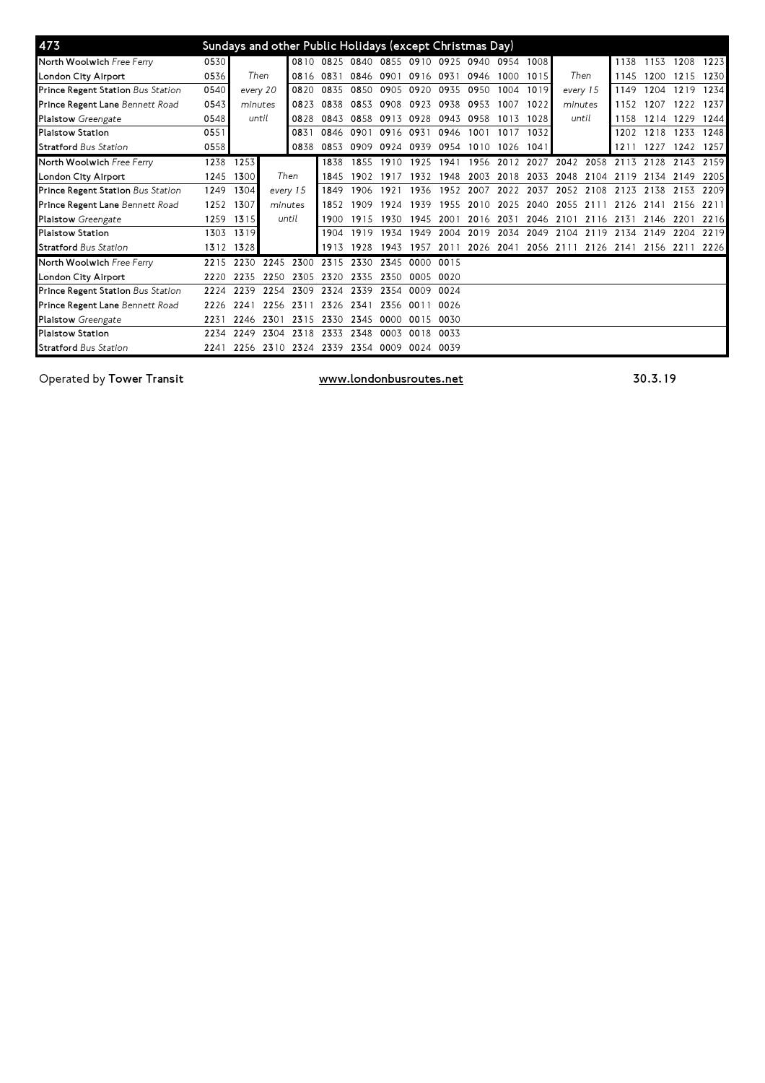| 473                               |      |           |              | Sundays and other Public Holidays (except Christmas Day) |      |           |      |                                         |      |      |           |      |                          |      |           |      |      |      |
|-----------------------------------|------|-----------|--------------|----------------------------------------------------------|------|-----------|------|-----------------------------------------|------|------|-----------|------|--------------------------|------|-----------|------|------|------|
| North Woolwich Free Ferry         | 0530 |           |              |                                                          |      |           |      | 0810 0825 0840 0855 0910 0925 0940 0954 |      |      |           | 1008 |                          |      | 1138      | 1153 | 1208 | 1223 |
| London City Airport               | 0536 |           | Then<br>0816 |                                                          | 0831 | 0846      | 0901 | 0916 0931                               |      | 0946 | 1000 1015 |      | Then                     |      | 1145      | 1200 | 1215 | 1230 |
| Prince Regent Station Bus Station | 0540 | every 20  |              | 0820                                                     | 0835 | 0850      | 0905 | 0920                                    | 0935 | 0950 | 1004      | 1019 | every 15                 |      | 1149      | 1204 | 1219 | 1234 |
| Prince Regent Lane Bennett Road   | 0543 | minutes   |              | 0823                                                     | 0838 | 0853      | 0908 | 0923                                    | 0938 | 0953 | 1007      | 1022 | minutes                  |      | 1152      | 1207 | 1222 | 1237 |
| <b>Plaistow</b> Greengate         | 0548 | until     |              | 0828                                                     | 0843 | 0858      | 0913 | 0928                                    | 0943 | 0958 | 1013      | 1028 | until                    |      | 1158      | 1214 | 1229 | 1244 |
| <b>Plaistow Station</b>           | 0551 |           |              | 0831                                                     | 0846 | 0901      | 0916 | 0931                                    | 0946 | 1001 | 1017      | 1032 |                          |      | 1202      | 1218 | 1233 | 1248 |
| <b>Stratford</b> Bus Station      | 0558 |           |              | 0838                                                     | 0853 | 0909      | 0924 | 0939                                    | 0954 | 1010 | 1026      | 1041 |                          |      | 1211      | 1227 | 1242 | 1257 |
| North Woolwich Free Ferry         | 1238 | 1253      |              |                                                          | 1838 | 1855      | 1910 | 1925                                    | 1941 | 1956 | 2012      | 2027 | 2042                     | 2058 | 2113 2128 |      | 2143 | 2159 |
| London City Airport               | 1245 | 1300      |              | Then                                                     |      | 1902      | 1917 | 1932                                    | 1948 | 2003 | 2018      | 2033 | 2048                     | 2104 | 2119      | 2134 | 2149 | 2205 |
| Prince Regent Station Bus Station | 1249 | 1304      |              | every 15                                                 |      | 1906      | 1921 | 1936                                    | 1952 | 2007 | 2022      | 2037 | 2052                     | 2108 | 2123      | 2138 | 2153 | 2209 |
| Prince Regent Lane Bennett Road   | 1252 | 1307      | minutes      |                                                          | 1852 | 1909      | 1924 | 1939                                    | 1955 | 2010 | 2025      | 2040 | 2055                     | 21   | 2126      | 2141 | 2156 | 2211 |
| <b>Plaistow</b> Greengate         | 1259 | 1315      | until        |                                                          | 1900 | 1915      | 1930 | 1945                                    | 200  | 2016 | 2031      | 2046 | 2101                     | 2116 | 2131      | 2146 | 2201 | 2216 |
| <b>Plaistow Station</b>           | 1303 | 1319      |              |                                                          | 1904 | 1919      | 1934 | 1949                                    | 2004 | 2019 | 2034      | 2049 | 2104                     | 2119 | 2134      | 2149 | 2204 | 2219 |
| <b>Stratford Bus Station</b>      |      | 1312 1328 |              |                                                          | 1913 | 1928      | 1943 | 1957                                    | 2011 | 2026 | 2041      |      | 2056 2111 2126 2141 2156 |      |           |      | 2211 | 2226 |
| North Woolwich Free Ferry         | 2215 | 2230      | 2245         | 2300                                                     | 2315 | 2330      | 2345 | 0000                                    | 0015 |      |           |      |                          |      |           |      |      |      |
| London City Airport               | 2220 | 2235      | 2250         | 2305                                                     | 2320 | 2335      | 2350 | 0005                                    | 0020 |      |           |      |                          |      |           |      |      |      |
| Prince Regent Station Bus Station | 2224 | 2239      | 2254         | 2309                                                     | 2324 | 2339      | 2354 | 0009                                    | 0024 |      |           |      |                          |      |           |      |      |      |
| Prince Regent Lane Bennett Road   | 2226 | 2241      | 2256         | 231                                                      | 2326 | 2341      | 2356 | .NO 1                                   | 0026 |      |           |      |                          |      |           |      |      |      |
| <b>Plaistow</b> Greengate         | 2231 | 2246      | 2301         | 2315                                                     | 2330 | 2345      | 0000 | 0015                                    | 0030 |      |           |      |                          |      |           |      |      |      |
| <b>Plaistow Station</b>           | 2234 | 2249      | 2304         | 2318                                                     | 2333 | 2348      | 0003 | 0018                                    | 0033 |      |           |      |                          |      |           |      |      |      |
| <b>Stratford Bus Station</b>      | 2241 | 2256      | 2310         | 2324                                                     | 2339 | 2354 0009 |      | 0024 0039                               |      |      |           |      |                          |      |           |      |      |      |

Operated by Tower Transit **Exercise 20.3.19** and the www.londonbusroutes.net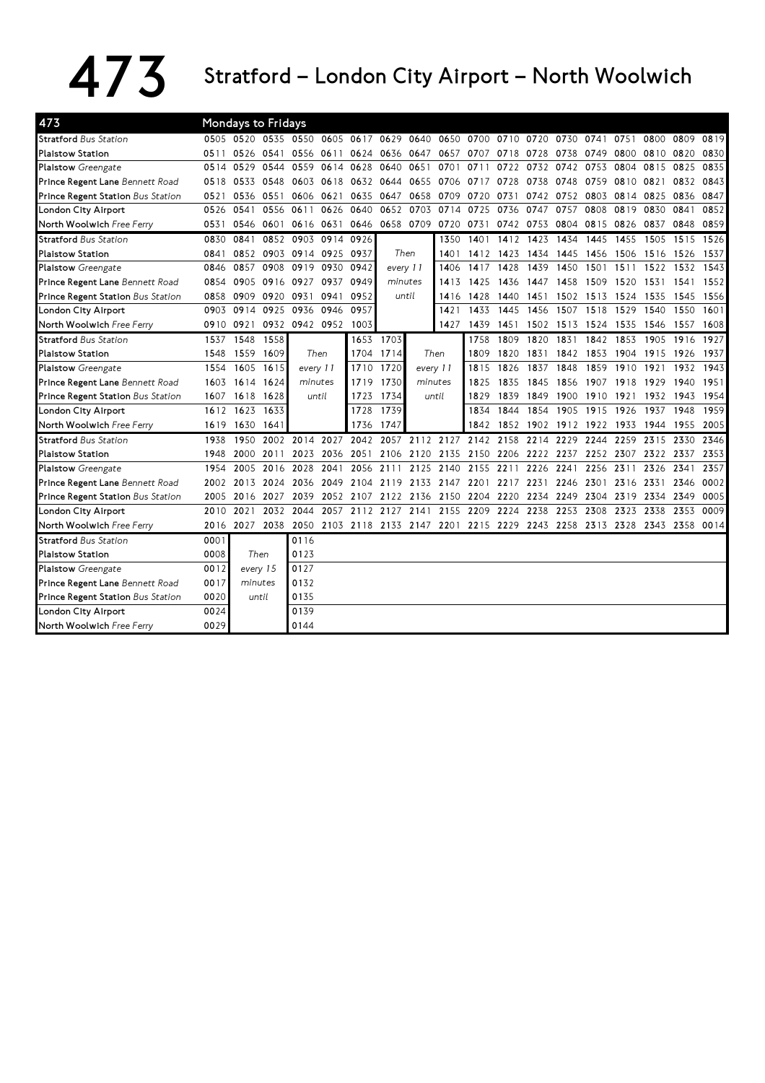## 473 Stratford – London City Airport – North Woolwich

| 473                               |      | <b>Mondays to Fridays</b> |           |                     |                     |                                                                                 |                |           |           |                |           |      |           |                               |      |           |      |      |
|-----------------------------------|------|---------------------------|-----------|---------------------|---------------------|---------------------------------------------------------------------------------|----------------|-----------|-----------|----------------|-----------|------|-----------|-------------------------------|------|-----------|------|------|
| <b>Stratford</b> Bus Station      |      |                           |           | 0505 0520 0535 0550 |                     | 0605 0617 0629                                                                  |                |           | 0640 0650 | 0700 0710 0720 |           |      | 0730 0741 |                               | 0751 | 0800      | 0809 | 0819 |
| <b>Plaistow Station</b>           | 0511 | 0526                      | 0541      | 0556                | 0611                | 0624                                                                            | 0636           | 0647      | 0657      | 0707           | 0718      | 0728 | 0738      | 0749                          | 0800 | 0810      | 0820 | 0830 |
| <b>Plaistow</b> Greengate         | 0514 | 0529                      | 0544      | 0559                | 0614                | 0628                                                                            | 0640           | 0651      | 0701      | 0711           | 0722      | 0732 | 0742      | 0753                          | 0804 | 0815      | 0825 | 0835 |
| Prince Regent Lane Bennett Road   | 0518 | 0533                      | 0548      | 0603                | 0618                | 0632                                                                            | 0644           | 0655      | 0706      | 0717           | 0728      | 0738 | 0748      | 0759                          | 0810 | 0821      | 0832 | 0843 |
| Prince Regent Station Bus Station | 0521 | 0536                      | 0551      | 0606                | 0621                | 0635                                                                            | 0647           | 0658      | 0709      | 0720           | 0731      | 0742 | 0752      | 0803                          | 0814 | 0825      | 0836 | 0847 |
| London City Airport               | 0526 | 0541                      | 0556      | 0611                |                     | 0626 0640                                                                       | 0652           |           | 0703 0714 | 0725           | 0736      | 0747 | 0757      | 0808                          | 0819 | 0830      | 0841 | 0852 |
| North Woolwich Free Ferry         | 0531 |                           | 0546 0601 |                     | 0616 0631           | 0646                                                                            | 0658 0709 0720 |           |           | 0731           | 0742 0753 |      |           | 0804 0815                     | 0826 | 0837      | 0848 | 0859 |
| <b>Stratford Bus Station</b>      | 0830 | 0841                      | 0852      | 0903                |                     | 0914 0926                                                                       |                |           | 1350      | 1401           | 1412      | 1423 | 1434      | 1445                          | 1455 | 1505      | 1515 | 1526 |
| <b>Plaistow Station</b>           | 0841 | 0852                      | 0903      | 0914                |                     | 0925 0937                                                                       | Then           |           | 1401      |                | 1412 1423 | 1434 | 1445      | 1456                          | 1506 | 1516      | 1526 | 1537 |
| <b>Plaistow</b> Greengate         | 0846 | 0857                      | 0908      | 0919                | 0930                | 0942                                                                            | every 11       |           | 1406      | 1417           | 1428      | 1439 | 1450      | 1501                          | 1511 | 1522      | 1532 | 1543 |
| Prince Regent Lane Bennett Road   | 0854 | 0905                      | 0916      | 0927                | 0937                | 0949                                                                            | minutes        |           | 1413      | 1425           | 1436      | 1447 | 1458      | 1509                          | 1520 | 1531      | 1541 | 1552 |
| Prince Regent Station Bus Station | 0858 | 0909                      | 0920      | 0931                | 0941                | 0952                                                                            | until          |           | 1416      | 1428           | 1440      | 1451 | 1502      | 1513                          | 1524 | 1535      | 1545 | 1556 |
| London City Airport               | 0903 | 0914                      | 0925      | 0936                | 0946                | 0957                                                                            |                |           | 1421      | 1433           | 1445      | 1456 | 1507      | 1518                          | 1529 | 1540      | 1550 | 1601 |
| North Woolwich Free Ferry         | 0910 | 0921                      |           |                     | 0932 0942 0952 1003 |                                                                                 |                |           | 1427      | 1439           | 1451      |      |           | 1502 1513 1524 1535           |      | 1546      | 1557 | 1608 |
| <b>Stratford Bus Station</b>      | 1537 | 1548                      | 1558      |                     |                     | 1653                                                                            | 1703           |           |           | 1758           | 1809      | 1820 | 1831      | 1842                          | 1853 | 1905      | 1916 | 1927 |
| <b>Plaistow Station</b>           | 1548 | 1559                      | 1609      | Then                |                     | 1704                                                                            | 1714           | Then      |           | 1809           | 1820      | 1831 | 1842      | 1853                          | 1904 | 1915      | 1926 | 1937 |
| Plaistow Greengate                | 1554 |                           | 1605 1615 |                     | every 11            |                                                                                 | 1720           | every 11  |           | 1815           | 1826      | 1837 | 1848      | 1859                          | 1910 | 1921      | 1932 | 1943 |
| Prince Regent Lane Bennett Road   | 1603 | 1614 1624                 |           |                     | minutes             | 1719                                                                            | 1730           |           | minutes   | 1825           | 1835      | 1845 | 1856      | 1907                          | 1918 | 1929      | 1940 | 1951 |
| Prince Regent Station Bus Station |      | 1607 1618 1628            |           |                     | until               | 1723                                                                            | 1734           |           | until     | 1829           | 1839      | 1849 | 1900      | 1910 1921                     |      | 1932 1943 |      | 1954 |
| London City Airport               | 1612 | 1623                      | 1633      |                     |                     | 1728                                                                            | 1739           |           |           | 1834           | 1844      | 1854 |           | 1905 1915 1926                |      | 1937      | 1948 | 1959 |
| North Woolwich Free Ferry         | 1619 | 1630                      | 1641      |                     |                     | 1736                                                                            | 1747           |           |           |                |           |      |           | 1842 1852 1902 1912 1922 1933 |      | 1944 1955 |      | 2005 |
| <b>Stratford Bus Station</b>      | 1938 | 1950                      | 2002      | 2014                | 2027                | 2042                                                                            | 2057           | 2112      | 2127      | 2142           | 2158      | 2214 | 2229      | 2244                          | 2259 | 2315      | 2330 | 2346 |
| <b>Plaistow Station</b>           | 1948 | 2000                      | 2011      | 2023                |                     | 2036 2051                                                                       | 2106           | 2120 2135 |           | 2150           | 2206 2222 |      | 2237      | 2252                          | 2307 | 2322      | 2337 | 2353 |
| <b>Plaistow</b> Greengate         | 1954 | 2005                      | 2016      | 2028                | 2041                | 2056                                                                            | 2111           |           | 2125 2140 | 2155           | 2211      | 2226 | 2241      | 2256                          | 2311 | 2326      | 2341 | 2357 |
| Prince Regent Lane Bennett Road   | 2002 | 2013                      | 2024      | 2036                | 2049                | 2104                                                                            | 2119           |           | 2133 2147 | 2201           | 2217      | 2231 | 2246      | 2301                          | 2316 | 2331      | 2346 | 0002 |
| Prince Regent Station Bus Station | 2005 | 2016                      | 2027      | 2039                |                     | 2052 2107                                                                       | 2122 2136 2150 |           |           | 2204 2220      |           | 2234 | 2249      | 2304                          | 2319 | 2334      | 2349 | 0005 |
| London City Airport               | 2010 | 2021                      |           | 2032 2044           | 2057                | 2112 2127                                                                       |                | 2141      | 2155      | 2209           | 2224      | 2238 | 2253      | 2308                          | 2323 | 2338      | 2353 | 0009 |
| North Woolwich Free Ferry         |      | 2016 2027                 |           |                     |                     | 2038 2050 2103 2118 2133 2147 2201 2215 2229 2243 2258 2313 2328 2343 2358 0014 |                |           |           |                |           |      |           |                               |      |           |      |      |
| <b>Stratford Bus Station</b>      | 0001 |                           |           | 0116                |                     |                                                                                 |                |           |           |                |           |      |           |                               |      |           |      |      |
| <b>Plaistow Station</b>           | 0008 |                           | Then      | 0123                |                     |                                                                                 |                |           |           |                |           |      |           |                               |      |           |      |      |
| <b>Plaistow</b> Greengate         | 0012 |                           | every 15  | 0127                |                     |                                                                                 |                |           |           |                |           |      |           |                               |      |           |      |      |
| Prince Regent Lane Bennett Road   | 0017 | minutes                   |           | 0132                |                     |                                                                                 |                |           |           |                |           |      |           |                               |      |           |      |      |
| Prince Regent Station Bus Station | 0020 |                           | until     | 0135                |                     |                                                                                 |                |           |           |                |           |      |           |                               |      |           |      |      |
| London City Airport               | 0024 |                           |           | 0139                |                     |                                                                                 |                |           |           |                |           |      |           |                               |      |           |      |      |
| North Woolwich Free Ferry         | 0029 |                           |           | 0144                |                     |                                                                                 |                |           |           |                |           |      |           |                               |      |           |      |      |